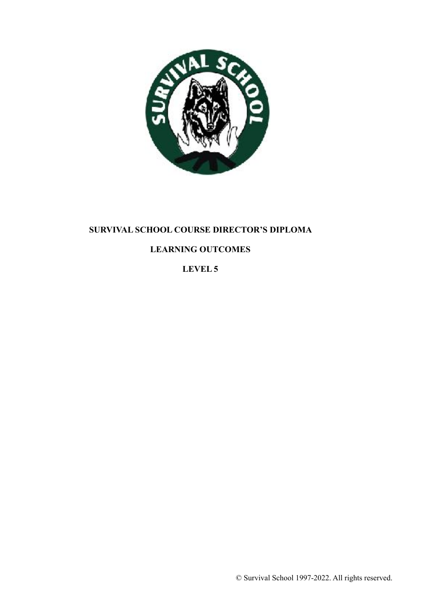

# **SURVIVAL SCHOOL COURSE DIRECTOR'S DIPLOMA**

# **LEARNING OUTCOMES**

**LEVEL 5**

© Survival School 1997-2022. All rights reserved.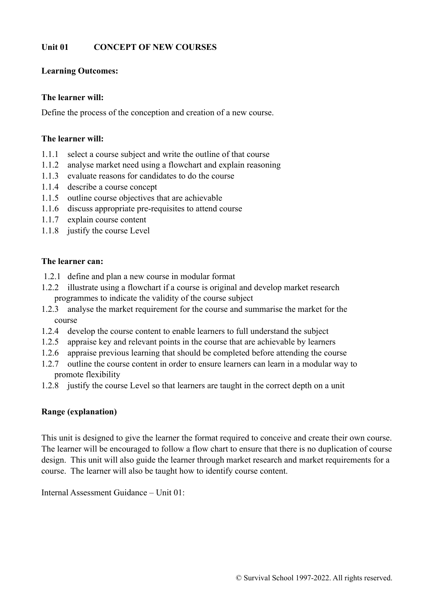### **Unit 01 CONCEPT OF NEW COURSES**

#### **Learning Outcomes:**

#### **The learner will:**

Define the process of the conception and creation of a new course.

#### **The learner will:**

- 1.1.1 select a course subject and write the outline of that course
- 1.1.2 analyse market need using a flowchart and explain reasoning
- 1.1.3 evaluate reasons for candidates to do the course
- 1.1.4 describe a course concept
- 1.1.5 outline course objectives that are achievable
- 1.1.6 discuss appropriate pre-requisites to attend course
- 1.1.7 explain course content
- 1.1.8 justify the course Level

#### **The learner can:**

- 1.2.1 define and plan a new course in modular format
- 1.2.2 illustrate using a flowchart if a course is original and develop market research programmes to indicate the validity of the course subject
- 1.2.3 analyse the market requirement for the course and summarise the market for the course
- 1.2.4 develop the course content to enable learners to full understand the subject
- 1.2.5 appraise key and relevant points in the course that are achievable by learners
- 1.2.6 appraise previous learning that should be completed before attending the course
- 1.2.7 outline the course content in order to ensure learners can learn in a modular way to promote flexibility
- 1.2.8 justify the course Level so that learners are taught in the correct depth on a unit

### **Range (explanation)**

This unit is designed to give the learner the format required to conceive and create their own course. The learner will be encouraged to follow a flow chart to ensure that there is no duplication of course design. This unit will also guide the learner through market research and market requirements for a course. The learner will also be taught how to identify course content.

Internal Assessment Guidance – Unit 01: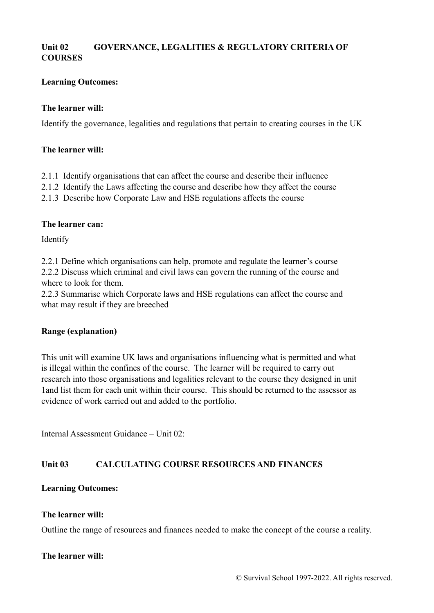## **Unit 02 GOVERNANCE, LEGALITIES & REGULATORY CRITERIA OF COURSES**

### **Learning Outcomes:**

#### **The learner will:**

Identify the governance, legalities and regulations that pertain to creating courses in the UK

#### **The learner will:**

- 2.1.1 Identify organisations that can affect the course and describe their influence
- 2.1.2 Identify the Laws affecting the course and describe how they affect the course
- 2.1.3 Describe how Corporate Law and HSE regulations affects the course

#### **The learner can:**

Identify

2.2.1 Define which organisations can help, promote and regulate the learner's course 2.2.2 Discuss which criminal and civil laws can govern the running of the course and where to look for them.

2.2.3 Summarise which Corporate laws and HSE regulations can affect the course and what may result if they are breeched

### **Range (explanation)**

This unit will examine UK laws and organisations influencing what is permitted and what is illegal within the confines of the course. The learner will be required to carry out research into those organisations and legalities relevant to the course they designed in unit 1and list them for each unit within their course. This should be returned to the assessor as evidence of work carried out and added to the portfolio.

Internal Assessment Guidance – Unit 02:

### **Unit 03 CALCULATING COURSE RESOURCES AND FINANCES**

#### **Learning Outcomes:**

#### **The learner will:**

Outline the range of resources and finances needed to make the concept of the course a reality.

#### **The learner will:**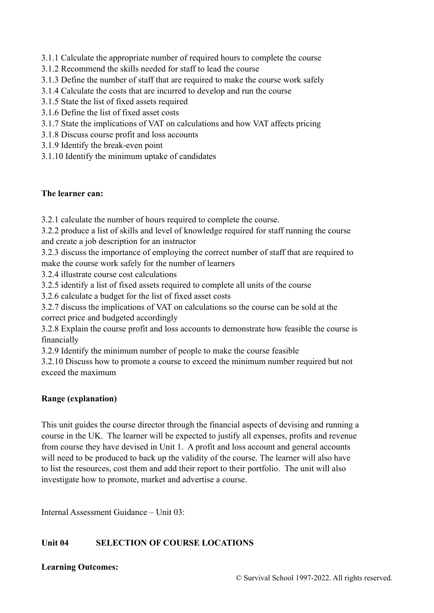- 3.1.1 Calculate the appropriate number of required hours to complete the course
- 3.1.2 Recommend the skills needed for staff to lead the course
- 3.1.3 Define the number of staff that are required to make the course work safely
- 3.1.4 Calculate the costs that are incurred to develop and run the course
- 3.1.5 State the list of fixed assets required
- 3.1.6 Define the list of fixed asset costs
- 3.1.7 State the implications of VAT on calculations and how VAT affects pricing
- 3.1.8 Discuss course profit and loss accounts
- 3.1.9 Identify the break-even point
- 3.1.10 Identify the minimum uptake of candidates

### **The learner can:**

3.2.1 calculate the number of hours required to complete the course.

3.2.2 produce a list of skills and level of knowledge required for staff running the course and create a job description for an instructor

3.2.3 discuss the importance of employing the correct number of staff that are required to make the course work safely for the number of learners

3.2.4 illustrate course cost calculations

3.2.5 identify a list of fixed assets required to complete all units of the course

3.2.6 calculate a budget for the list of fixed asset costs

3.2.7 discuss the implications of VAT on calculations so the course can be sold at the correct price and budgeted accordingly

3.2.8 Explain the course profit and loss accounts to demonstrate how feasible the course is financially

3.2.9 Identify the minimum number of people to make the course feasible

3.2.10 Discuss how to promote a course to exceed the minimum number required but not exceed the maximum

### **Range (explanation)**

This unit guides the course director through the financial aspects of devising and running a course in the UK. The learner will be expected to justify all expenses, profits and revenue from course they have devised in Unit 1. A profit and loss account and general accounts will need to be produced to back up the validity of the course. The learner will also have to list the resources, cost them and add their report to their portfolio. The unit will also investigate how to promote, market and advertise a course.

Internal Assessment Guidance – Unit 03:

## **Unit 04 SELECTION OF COURSE LOCATIONS**

### **Learning Outcomes:**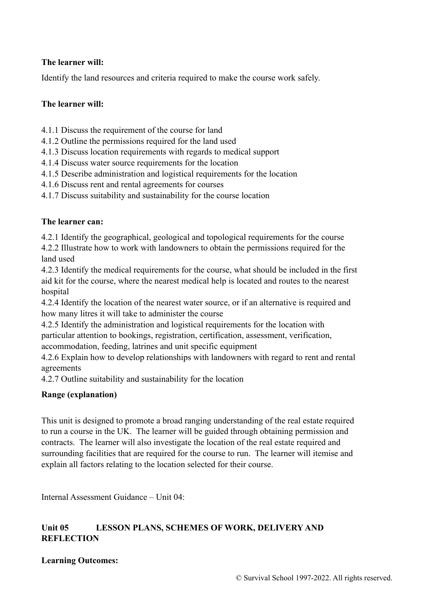## **The learner will:**

Identify the land resources and criteria required to make the course work safely.

## **The learner will:**

- 4.1.1 Discuss the requirement of the course for land
- 4.1.2 Outline the permissions required for the land used
- 4.1.3 Discuss location requirements with regards to medical support
- 4.1.4 Discuss water source requirements for the location
- 4.1.5 Describe administration and logistical requirements for the location
- 4.1.6 Discuss rent and rental agreements for courses
- 4.1.7 Discuss suitability and sustainability for the course location

## **The learner can:**

4.2.1 Identify the geographical, geological and topological requirements for the course

4.2.2 Illustrate how to work with landowners to obtain the permissions required for the land used

4.2.3 Identify the medical requirements for the course, what should be included in the first aid kit for the course, where the nearest medical help is located and routes to the nearest hospital

4.2.4 Identify the location of the nearest water source, or if an alternative is required and how many litres it will take to administer the course

4.2.5 Identify the administration and logistical requirements for the location with particular attention to bookings, registration, certification, assessment, verification, accommodation, feeding, latrines and unit specific equipment

4.2.6 Explain how to develop relationships with landowners with regard to rent and rental agreements

4.2.7 Outline suitability and sustainability for the location

## **Range (explanation)**

This unit is designed to promote a broad ranging understanding of the real estate required to run a course in the UK. The learner will be guided through obtaining permission and contracts. The learner will also investigate the location of the real estate required and surrounding facilities that are required for the course to run. The learner will itemise and explain all factors relating to the location selected for their course.

Internal Assessment Guidance – Unit 04:

## Unit 05 LESSON PLANS, SCHEMES OF WORK, DELIVERY AND **REFLECTION**

## **Learning Outcomes:**